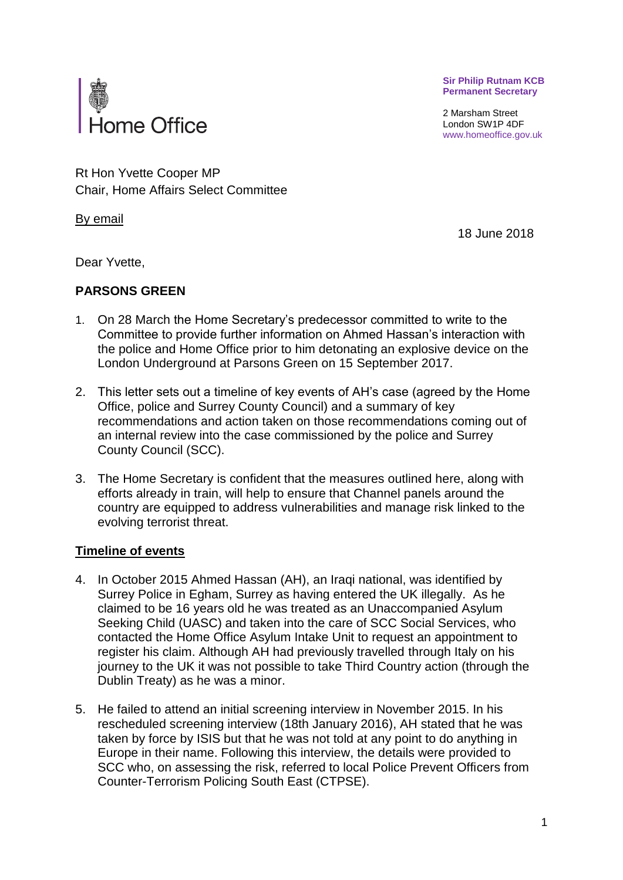**Sir Philip Rutnam KCB Permanent Secretary**

2 Marsham Street London SW1P 4DF www.homeoffice.gov.uk



Rt Hon Yvette Cooper MP Chair, Home Affairs Select Committee

By email

18 June 2018

Dear Yvette,

# **PARSONS GREEN**

- 1. On 28 March the Home Secretary's predecessor committed to write to the Committee to provide further information on Ahmed Hassan's interaction with the police and Home Office prior to him detonating an explosive device on the London Underground at Parsons Green on 15 September 2017.
- 2. This letter sets out a timeline of key events of AH's case (agreed by the Home Office, police and Surrey County Council) and a summary of key recommendations and action taken on those recommendations coming out of an internal review into the case commissioned by the police and Surrey County Council (SCC).
- 3. The Home Secretary is confident that the measures outlined here, along with efforts already in train, will help to ensure that Channel panels around the country are equipped to address vulnerabilities and manage risk linked to the evolving terrorist threat.

# **Timeline of events**

- 4. In October 2015 Ahmed Hassan (AH), an Iraqi national, was identified by Surrey Police in Egham, Surrey as having entered the UK illegally. As he claimed to be 16 years old he was treated as an Unaccompanied Asylum Seeking Child (UASC) and taken into the care of SCC Social Services, who contacted the Home Office Asylum Intake Unit to request an appointment to register his claim. Although AH had previously travelled through Italy on his journey to the UK it was not possible to take Third Country action (through the Dublin Treaty) as he was a minor.
- 5. He failed to attend an initial screening interview in November 2015. In his rescheduled screening interview (18th January 2016), AH stated that he was taken by force by ISIS but that he was not told at any point to do anything in Europe in their name. Following this interview, the details were provided to SCC who, on assessing the risk, referred to local Police Prevent Officers from Counter-Terrorism Policing South East (CTPSE).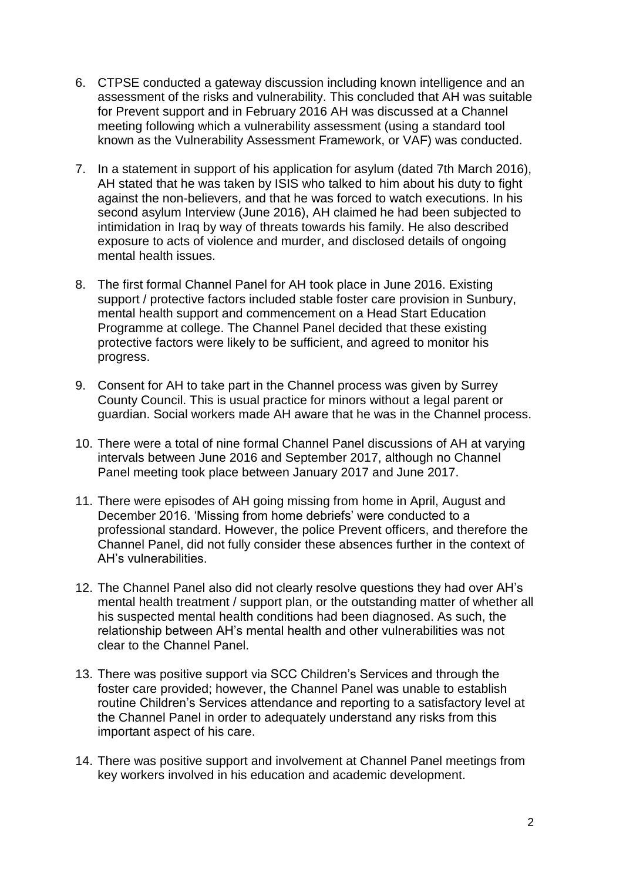- 6. CTPSE conducted a gateway discussion including known intelligence and an assessment of the risks and vulnerability. This concluded that AH was suitable for Prevent support and in February 2016 AH was discussed at a Channel meeting following which a vulnerability assessment (using a standard tool known as the Vulnerability Assessment Framework, or VAF) was conducted.
- 7. In a statement in support of his application for asylum (dated 7th March 2016), AH stated that he was taken by ISIS who talked to him about his duty to fight against the non-believers, and that he was forced to watch executions. In his second asylum Interview (June 2016), AH claimed he had been subjected to intimidation in Iraq by way of threats towards his family. He also described exposure to acts of violence and murder, and disclosed details of ongoing mental health issues.
- 8. The first formal Channel Panel for AH took place in June 2016. Existing support / protective factors included stable foster care provision in Sunbury, mental health support and commencement on a Head Start Education Programme at college. The Channel Panel decided that these existing protective factors were likely to be sufficient, and agreed to monitor his progress.
- 9. Consent for AH to take part in the Channel process was given by Surrey County Council. This is usual practice for minors without a legal parent or guardian. Social workers made AH aware that he was in the Channel process.
- 10. There were a total of nine formal Channel Panel discussions of AH at varying intervals between June 2016 and September 2017, although no Channel Panel meeting took place between January 2017 and June 2017.
- 11. There were episodes of AH going missing from home in April, August and December 2016. 'Missing from home debriefs' were conducted to a professional standard. However, the police Prevent officers, and therefore the Channel Panel, did not fully consider these absences further in the context of AH's vulnerabilities.
- 12. The Channel Panel also did not clearly resolve questions they had over AH's mental health treatment / support plan, or the outstanding matter of whether all his suspected mental health conditions had been diagnosed. As such, the relationship between AH's mental health and other vulnerabilities was not clear to the Channel Panel.
- 13. There was positive support via SCC Children's Services and through the foster care provided; however, the Channel Panel was unable to establish routine Children's Services attendance and reporting to a satisfactory level at the Channel Panel in order to adequately understand any risks from this important aspect of his care.
- 14. There was positive support and involvement at Channel Panel meetings from key workers involved in his education and academic development.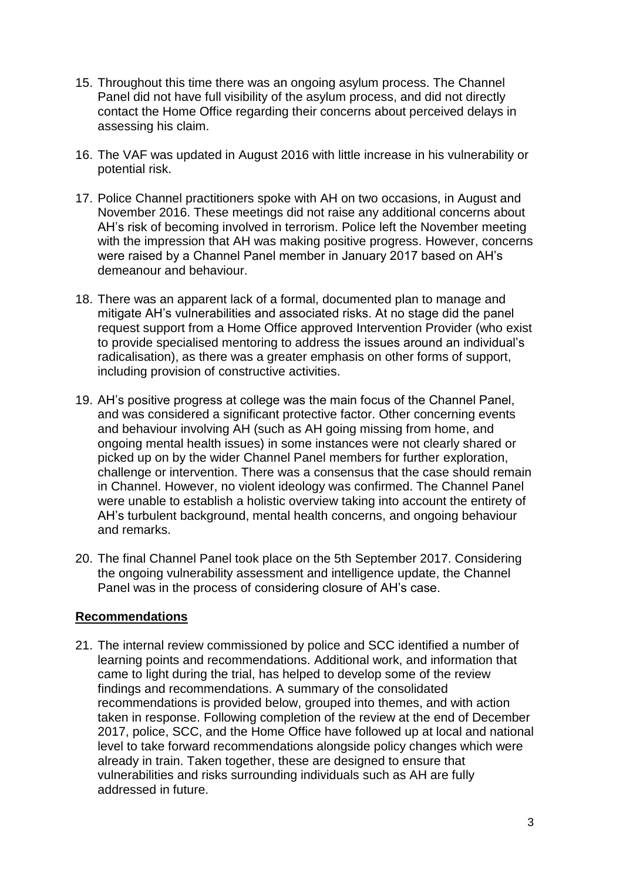- 15. Throughout this time there was an ongoing asylum process. The Channel Panel did not have full visibility of the asylum process, and did not directly contact the Home Office regarding their concerns about perceived delays in assessing his claim.
- 16. The VAF was updated in August 2016 with little increase in his vulnerability or potential risk.
- 17. Police Channel practitioners spoke with AH on two occasions, in August and November 2016. These meetings did not raise any additional concerns about AH's risk of becoming involved in terrorism. Police left the November meeting with the impression that AH was making positive progress. However, concerns were raised by a Channel Panel member in January 2017 based on AH's demeanour and behaviour.
- 18. There was an apparent lack of a formal, documented plan to manage and mitigate AH's vulnerabilities and associated risks. At no stage did the panel request support from a Home Office approved Intervention Provider (who exist to provide specialised mentoring to address the issues around an individual's radicalisation), as there was a greater emphasis on other forms of support, including provision of constructive activities.
- 19. AH's positive progress at college was the main focus of the Channel Panel, and was considered a significant protective factor. Other concerning events and behaviour involving AH (such as AH going missing from home, and ongoing mental health issues) in some instances were not clearly shared or picked up on by the wider Channel Panel members for further exploration, challenge or intervention. There was a consensus that the case should remain in Channel. However, no violent ideology was confirmed. The Channel Panel were unable to establish a holistic overview taking into account the entirety of AH's turbulent background, mental health concerns, and ongoing behaviour and remarks.
- 20. The final Channel Panel took place on the 5th September 2017. Considering the ongoing vulnerability assessment and intelligence update, the Channel Panel was in the process of considering closure of AH's case.

# **Recommendations**

21. The internal review commissioned by police and SCC identified a number of learning points and recommendations. Additional work, and information that came to light during the trial, has helped to develop some of the review findings and recommendations. A summary of the consolidated recommendations is provided below, grouped into themes, and with action taken in response. Following completion of the review at the end of December 2017, police, SCC, and the Home Office have followed up at local and national level to take forward recommendations alongside policy changes which were already in train. Taken together, these are designed to ensure that vulnerabilities and risks surrounding individuals such as AH are fully addressed in future.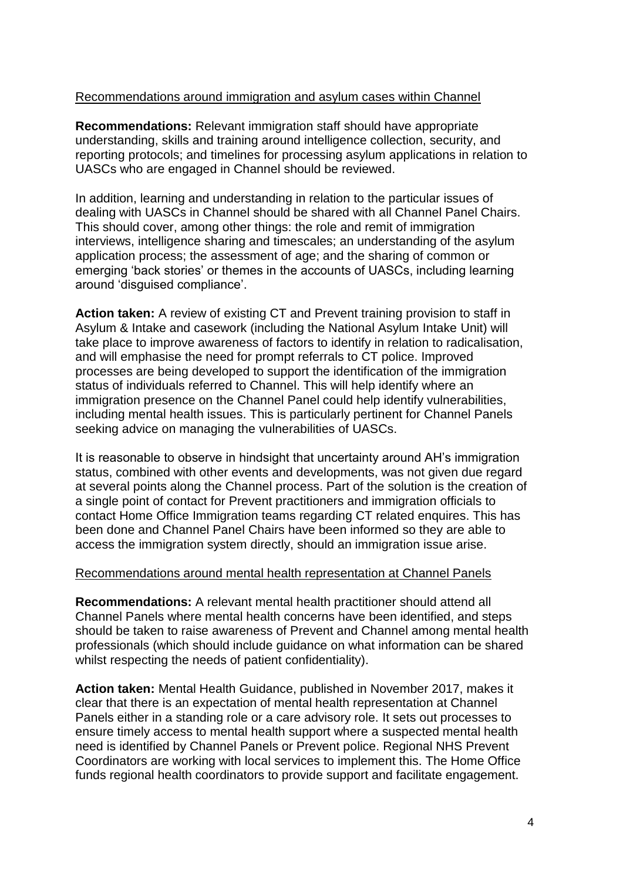# Recommendations around immigration and asylum cases within Channel

**Recommendations:** Relevant immigration staff should have appropriate understanding, skills and training around intelligence collection, security, and reporting protocols; and timelines for processing asylum applications in relation to UASCs who are engaged in Channel should be reviewed.

In addition, learning and understanding in relation to the particular issues of dealing with UASCs in Channel should be shared with all Channel Panel Chairs. This should cover, among other things: the role and remit of immigration interviews, intelligence sharing and timescales; an understanding of the asylum application process; the assessment of age; and the sharing of common or emerging 'back stories' or themes in the accounts of UASCs, including learning around 'disguised compliance'.

**Action taken:** A review of existing CT and Prevent training provision to staff in Asylum & Intake and casework (including the National Asylum Intake Unit) will take place to improve awareness of factors to identify in relation to radicalisation, and will emphasise the need for prompt referrals to CT police. Improved processes are being developed to support the identification of the immigration status of individuals referred to Channel. This will help identify where an immigration presence on the Channel Panel could help identify vulnerabilities, including mental health issues. This is particularly pertinent for Channel Panels seeking advice on managing the vulnerabilities of UASCs.

It is reasonable to observe in hindsight that uncertainty around AH's immigration status, combined with other events and developments, was not given due regard at several points along the Channel process. Part of the solution is the creation of a single point of contact for Prevent practitioners and immigration officials to contact Home Office Immigration teams regarding CT related enquires. This has been done and Channel Panel Chairs have been informed so they are able to access the immigration system directly, should an immigration issue arise.

# Recommendations around mental health representation at Channel Panels

**Recommendations:** A relevant mental health practitioner should attend all Channel Panels where mental health concerns have been identified, and steps should be taken to raise awareness of Prevent and Channel among mental health professionals (which should include guidance on what information can be shared whilst respecting the needs of patient confidentiality).

**Action taken:** Mental Health Guidance, published in November 2017, makes it clear that there is an expectation of mental health representation at Channel Panels either in a standing role or a care advisory role. It sets out processes to ensure timely access to mental health support where a suspected mental health need is identified by Channel Panels or Prevent police. Regional NHS Prevent Coordinators are working with local services to implement this. The Home Office funds regional health coordinators to provide support and facilitate engagement.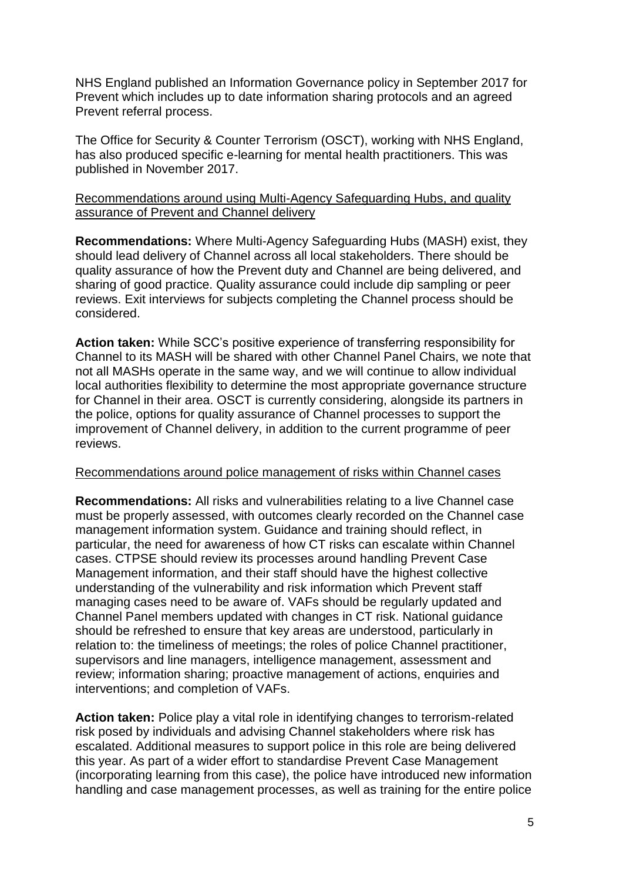NHS England published an Information Governance policy in September 2017 for Prevent which includes up to date information sharing protocols and an agreed Prevent referral process.

The Office for Security & Counter Terrorism (OSCT), working with NHS England, has also produced specific e-learning for mental health practitioners. This was published in November 2017.

# Recommendations around using Multi-Agency Safeguarding Hubs, and quality assurance of Prevent and Channel delivery

**Recommendations:** Where Multi-Agency Safeguarding Hubs (MASH) exist, they should lead delivery of Channel across all local stakeholders. There should be quality assurance of how the Prevent duty and Channel are being delivered, and sharing of good practice. Quality assurance could include dip sampling or peer reviews. Exit interviews for subjects completing the Channel process should be considered.

**Action taken:** While SCC's positive experience of transferring responsibility for Channel to its MASH will be shared with other Channel Panel Chairs, we note that not all MASHs operate in the same way, and we will continue to allow individual local authorities flexibility to determine the most appropriate governance structure for Channel in their area. OSCT is currently considering, alongside its partners in the police, options for quality assurance of Channel processes to support the improvement of Channel delivery, in addition to the current programme of peer reviews.

# Recommendations around police management of risks within Channel cases

**Recommendations:** All risks and vulnerabilities relating to a live Channel case must be properly assessed, with outcomes clearly recorded on the Channel case management information system. Guidance and training should reflect, in particular, the need for awareness of how CT risks can escalate within Channel cases. CTPSE should review its processes around handling Prevent Case Management information, and their staff should have the highest collective understanding of the vulnerability and risk information which Prevent staff managing cases need to be aware of. VAFs should be regularly updated and Channel Panel members updated with changes in CT risk. National guidance should be refreshed to ensure that key areas are understood, particularly in relation to: the timeliness of meetings; the roles of police Channel practitioner, supervisors and line managers, intelligence management, assessment and review; information sharing; proactive management of actions, enquiries and interventions; and completion of VAFs.

**Action taken:** Police play a vital role in identifying changes to terrorism-related risk posed by individuals and advising Channel stakeholders where risk has escalated. Additional measures to support police in this role are being delivered this year. As part of a wider effort to standardise Prevent Case Management (incorporating learning from this case), the police have introduced new information handling and case management processes, as well as training for the entire police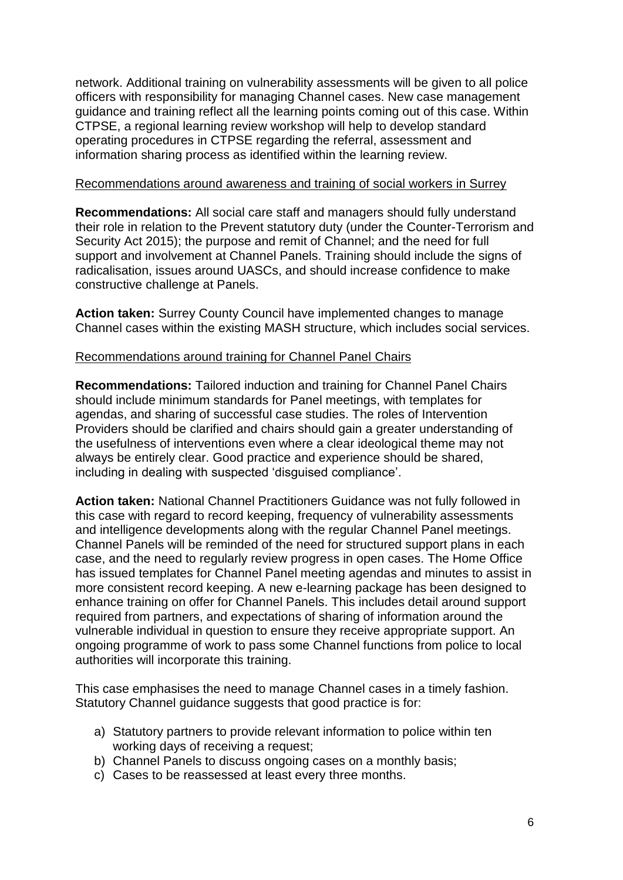network. Additional training on vulnerability assessments will be given to all police officers with responsibility for managing Channel cases. New case management guidance and training reflect all the learning points coming out of this case. Within CTPSE, a regional learning review workshop will help to develop standard operating procedures in CTPSE regarding the referral, assessment and information sharing process as identified within the learning review.

### Recommendations around awareness and training of social workers in Surrey

**Recommendations:** All social care staff and managers should fully understand their role in relation to the Prevent statutory duty (under the Counter-Terrorism and Security Act 2015); the purpose and remit of Channel; and the need for full support and involvement at Channel Panels. Training should include the signs of radicalisation, issues around UASCs, and should increase confidence to make constructive challenge at Panels.

**Action taken:** Surrey County Council have implemented changes to manage Channel cases within the existing MASH structure, which includes social services.

# Recommendations around training for Channel Panel Chairs

**Recommendations:** Tailored induction and training for Channel Panel Chairs should include minimum standards for Panel meetings, with templates for agendas, and sharing of successful case studies. The roles of Intervention Providers should be clarified and chairs should gain a greater understanding of the usefulness of interventions even where a clear ideological theme may not always be entirely clear. Good practice and experience should be shared, including in dealing with suspected 'disguised compliance'.

**Action taken:** National Channel Practitioners Guidance was not fully followed in this case with regard to record keeping, frequency of vulnerability assessments and intelligence developments along with the regular Channel Panel meetings. Channel Panels will be reminded of the need for structured support plans in each case, and the need to regularly review progress in open cases. The Home Office has issued templates for Channel Panel meeting agendas and minutes to assist in more consistent record keeping. A new e-learning package has been designed to enhance training on offer for Channel Panels. This includes detail around support required from partners, and expectations of sharing of information around the vulnerable individual in question to ensure they receive appropriate support. An ongoing programme of work to pass some Channel functions from police to local authorities will incorporate this training.

This case emphasises the need to manage Channel cases in a timely fashion. Statutory Channel guidance suggests that good practice is for:

- a) Statutory partners to provide relevant information to police within ten working days of receiving a request;
- b) Channel Panels to discuss ongoing cases on a monthly basis:
- c) Cases to be reassessed at least every three months.